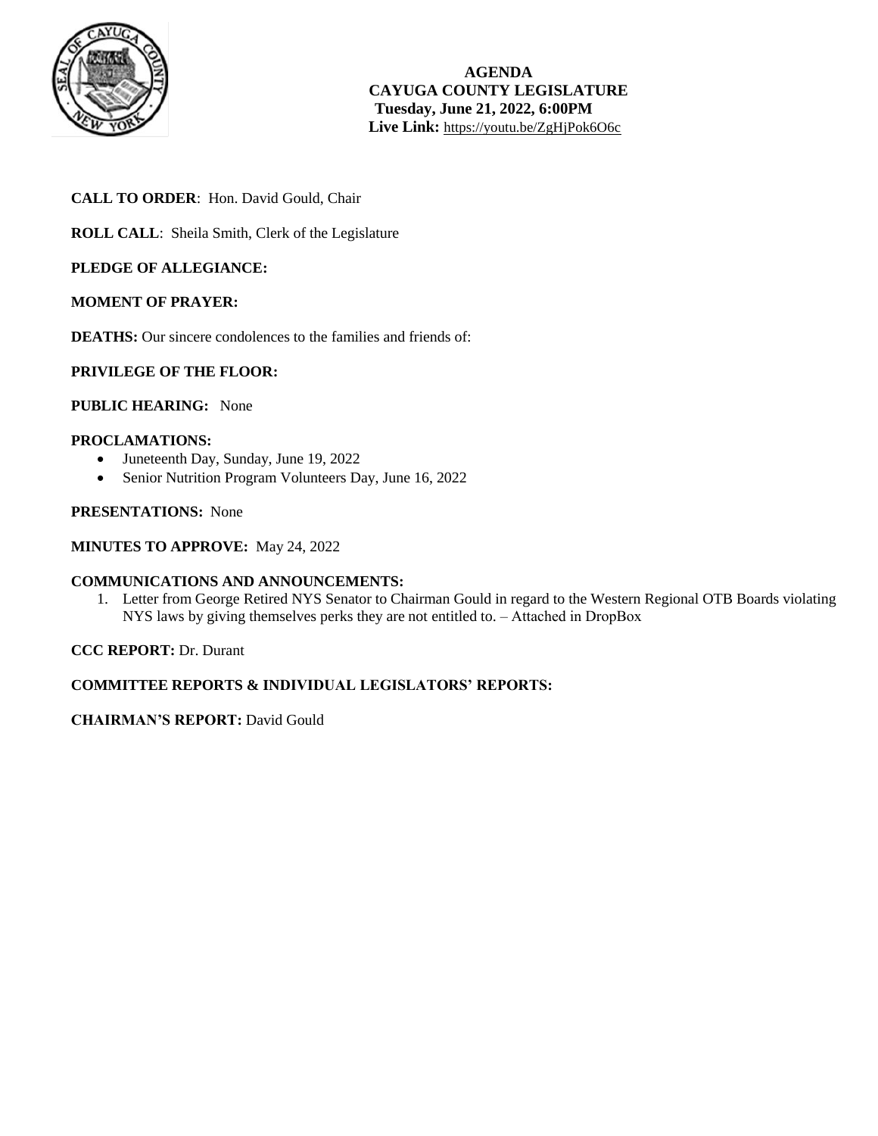

# **CALL TO ORDER**: Hon. David Gould, Chair

**ROLL CALL**: Sheila Smith, Clerk of the Legislature

## **PLEDGE OF ALLEGIANCE:**

#### **MOMENT OF PRAYER:**

**DEATHS:** Our sincere condolences to the families and friends of:

## **PRIVILEGE OF THE FLOOR:**

# **PUBLIC HEARING:** None

#### **PROCLAMATIONS:**

- Juneteenth Day, Sunday, June 19, 2022
- Senior Nutrition Program Volunteers Day, June 16, 2022

## **PRESENTATIONS:** None

#### **MINUTES TO APPROVE:** May 24, 2022

#### **COMMUNICATIONS AND ANNOUNCEMENTS:**

1. Letter from George Retired NYS Senator to Chairman Gould in regard to the Western Regional OTB Boards violating NYS laws by giving themselves perks they are not entitled to. – Attached in DropBox

#### **CCC REPORT:** Dr. Durant

## **COMMITTEE REPORTS & INDIVIDUAL LEGISLATORS' REPORTS:**

#### **CHAIRMAN'S REPORT:** David Gould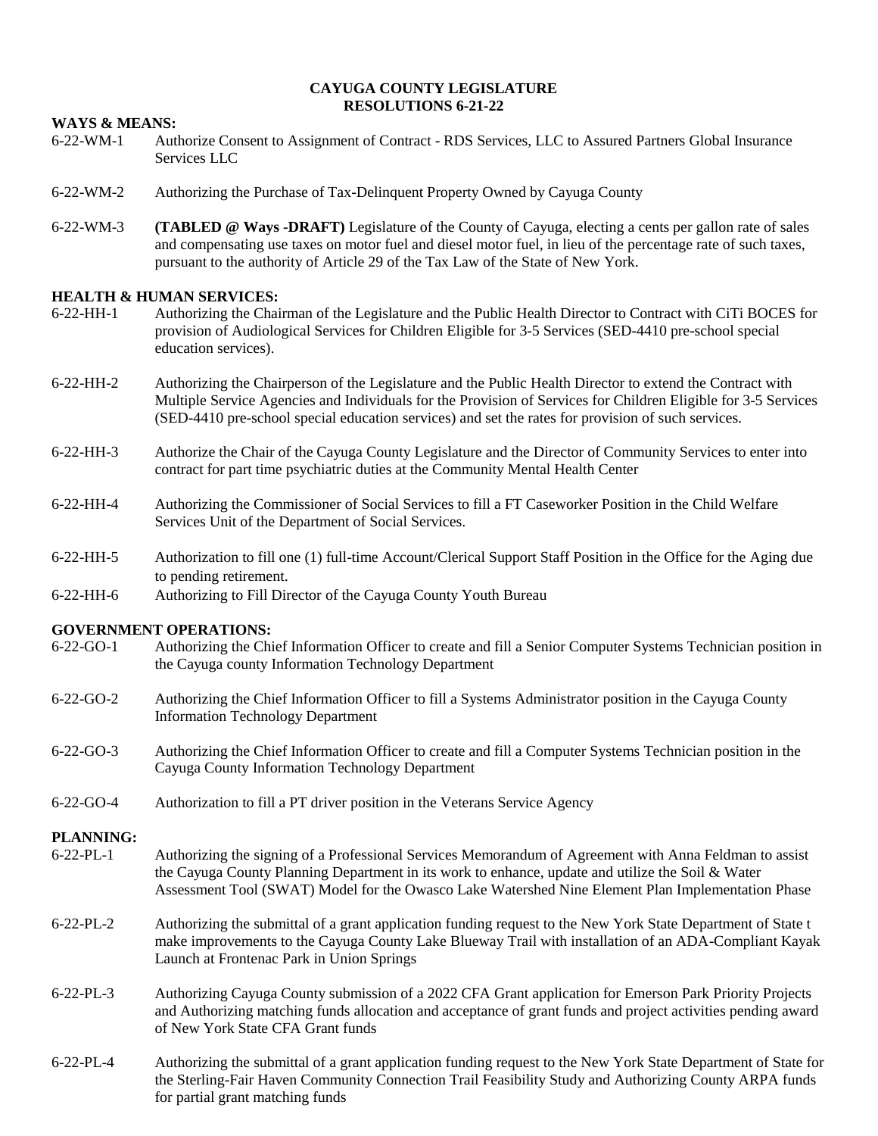#### **CAYUGA COUNTY LEGISLATURE RESOLUTIONS 6-21-22**

#### **WAYS & MEANS:**

- 6-22-WM-1 Authorize Consent to Assignment of Contract RDS Services, LLC to Assured Partners Global Insurance Services LLC
- 6-22-WM-2 Authorizing the Purchase of Tax-Delinquent Property Owned by Cayuga County
- 6-22-WM-3 **(TABLED @ Ways -DRAFT)** Legislature of the County of Cayuga, electing a cents per gallon rate of sales and compensating use taxes on motor fuel and diesel motor fuel, in lieu of the percentage rate of such taxes, pursuant to the authority of Article 29 of the Tax Law of the State of New York.

#### **HEALTH & HUMAN SERVICES:**

- 6-22-HH-1 Authorizing the Chairman of the Legislature and the Public Health Director to Contract with CiTi BOCES for provision of Audiological Services for Children Eligible for 3-5 Services (SED-4410 pre-school special education services).
- 6-22-HH-2 Authorizing the Chairperson of the Legislature and the Public Health Director to extend the Contract with Multiple Service Agencies and Individuals for the Provision of Services for Children Eligible for 3-5 Services (SED-4410 pre-school special education services) and set the rates for provision of such services.
- 6-22-HH-3 Authorize the Chair of the Cayuga County Legislature and the Director of Community Services to enter into contract for part time psychiatric duties at the Community Mental Health Center
- 6-22-HH-4 Authorizing the Commissioner of Social Services to fill a FT Caseworker Position in the Child Welfare Services Unit of the Department of Social Services.
- 6-22-HH-5 Authorization to fill one (1) full-time Account/Clerical Support Staff Position in the Office for the Aging due to pending retirement.
- 6-22-HH-6 Authorizing to Fill Director of the Cayuga County Youth Bureau

#### **GOVERNMENT OPERATIONS:**

- 6-22-GO-1 Authorizing the Chief Information Officer to create and fill a Senior Computer Systems Technician position in the Cayuga county Information Technology Department
- 6-22-GO-2 Authorizing the Chief Information Officer to fill a Systems Administrator position in the Cayuga County Information Technology Department
- 6-22-GO-3 Authorizing the Chief Information Officer to create and fill a Computer Systems Technician position in the Cayuga County Information Technology Department
- 6-22-GO-4 Authorization to fill a PT driver position in the Veterans Service Agency

# **PLANNING:**<br>6-22-PL-1

- Authorizing the signing of a Professional Services Memorandum of Agreement with Anna Feldman to assist the Cayuga County Planning Department in its work to enhance, update and utilize the Soil & Water Assessment Tool (SWAT) Model for the Owasco Lake Watershed Nine Element Plan Implementation Phase
- 6-22-PL-2 Authorizing the submittal of a grant application funding request to the New York State Department of State t make improvements to the Cayuga County Lake Blueway Trail with installation of an ADA-Compliant Kayak Launch at Frontenac Park in Union Springs
- 6-22-PL-3 Authorizing Cayuga County submission of a 2022 CFA Grant application for Emerson Park Priority Projects and Authorizing matching funds allocation and acceptance of grant funds and project activities pending award of New York State CFA Grant funds
- 6-22-PL-4 Authorizing the submittal of a grant application funding request to the New York State Department of State for the Sterling-Fair Haven Community Connection Trail Feasibility Study and Authorizing County ARPA funds for partial grant matching funds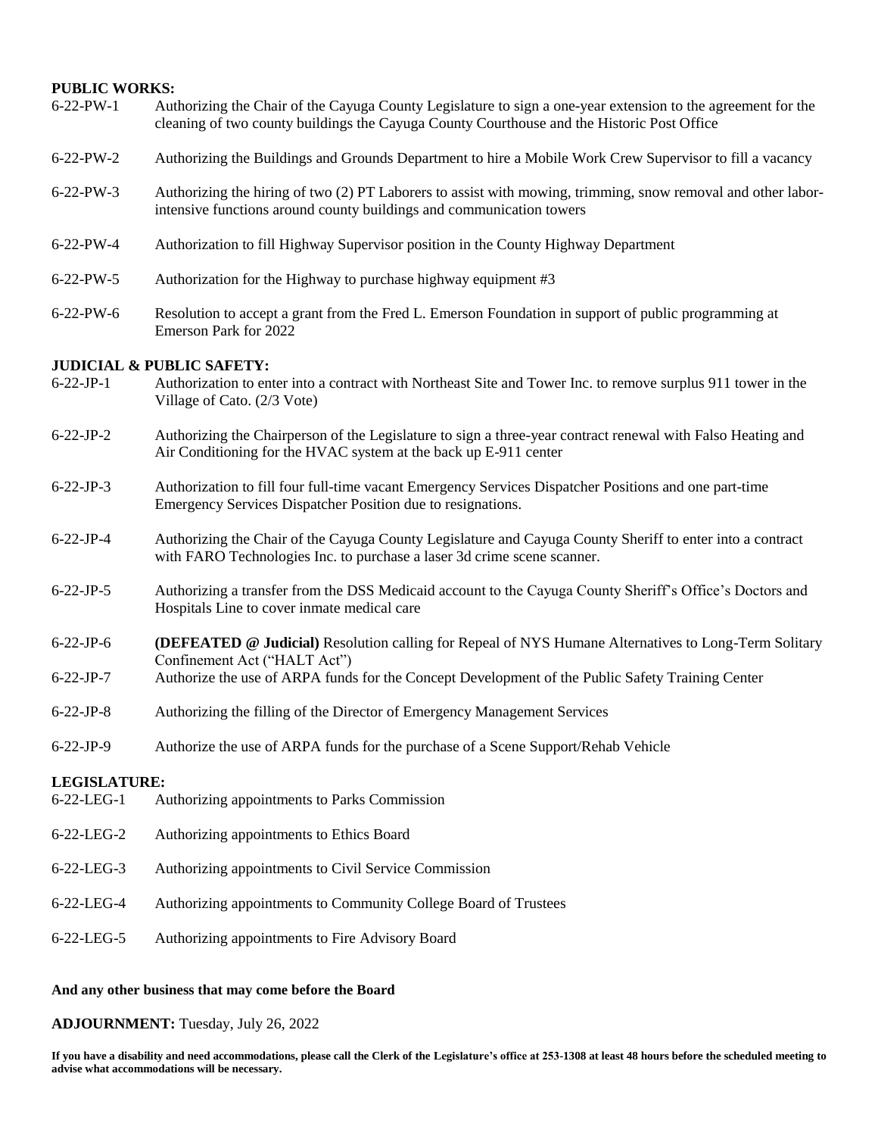#### **PUBLIC WORKS:**

| $6-22-PW-1$                          | Authorizing the Chair of the Cayuga County Legislature to sign a one-year extension to the agreement for the<br>cleaning of two county buildings the Cayuga County Courthouse and the Historic Post Office |
|--------------------------------------|------------------------------------------------------------------------------------------------------------------------------------------------------------------------------------------------------------|
| $6-22-PW-2$                          | Authorizing the Buildings and Grounds Department to hire a Mobile Work Crew Supervisor to fill a vacancy                                                                                                   |
| $6 - 22 - PW - 3$                    | Authorizing the hiring of two (2) PT Laborers to assist with mowing, trimming, snow removal and other labor-<br>intensive functions around county buildings and communication towers                       |
| $6-22-PW-4$                          | Authorization to fill Highway Supervisor position in the County Highway Department                                                                                                                         |
| $6 - 22 - PW - 5$                    | Authorization for the Highway to purchase highway equipment #3                                                                                                                                             |
| $6 - 22 - PW - 6$                    | Resolution to accept a grant from the Fred L. Emerson Foundation in support of public programming at<br>Emerson Park for 2022                                                                              |
| <b>JUDICIAL &amp; PUBLIC SAFETY:</b> |                                                                                                                                                                                                            |
| $6-22-JP-1$                          | Authorization to enter into a contract with Northeast Site and Tower Inc. to remove surplus 911 tower in the<br>Village of Cato. (2/3 Vote)                                                                |
| $6-22-JP-2$                          | Authorizing the Chairperson of the Legislature to sign a three-year contract renewal with Falso Heating and<br>Air Conditioning for the HVAC system at the back up E-911 center                            |
| $6 - 22 - JP -3$                     | Authorization to fill four full-time vacant Emergency Services Dispatcher Positions and one part-time<br>Emergency Services Dispatcher Position due to resignations.                                       |
| $6 - 22 - JP -4$                     | Authorizing the Chair of the Cayuga County Legislature and Cayuga County Sheriff to enter into a contract<br>with FARO Technologies Inc. to purchase a laser 3d crime scene scanner.                       |
| $6 - 22 - JP - 5$                    | Authorizing a transfer from the DSS Medicaid account to the Cayuga County Sheriff's Office's Doctors and<br>Hospitals Line to cover inmate medical care                                                    |
| $6-22-JP-6$                          | <b>(DEFEATED @ Judicial)</b> Resolution calling for Repeal of NYS Humane Alternatives to Long-Term Solitary<br>Confinement Act ("HALT Act")                                                                |
| $6 - 22 - JP -7$                     | Authorize the use of ARPA funds for the Concept Development of the Public Safety Training Center                                                                                                           |
| $6 - 22 - JP - 8$                    | Authorizing the filling of the Director of Emergency Management Services                                                                                                                                   |
| $6 - 22 - JP -9$                     | Authorize the use of ARPA funds for the purchase of a Scene Support/Rehab Vehicle                                                                                                                          |
| <b>LEGISLATURE:</b>                  |                                                                                                                                                                                                            |
| 6-22-LEG-1                           | Authorizing appointments to Parks Commission                                                                                                                                                               |
| 6-22-LEG-2                           | Authorizing appointments to Ethics Board                                                                                                                                                                   |
| 6-22-LEG-3                           | Authorizing appointments to Civil Service Commission                                                                                                                                                       |
| 6-22-LEG-4                           | Authorizing appointments to Community College Board of Trustees                                                                                                                                            |
| 6-22-LEG-5                           | Authorizing appointments to Fire Advisory Board                                                                                                                                                            |
|                                      |                                                                                                                                                                                                            |

## **And any other business that may come before the Board**

**ADJOURNMENT:** Tuesday, July 26, 2022

**If you have a disability and need accommodations, please call the Clerk of the Legislature's office at 253-1308 at least 48 hours before the scheduled meeting to advise what accommodations will be necessary.**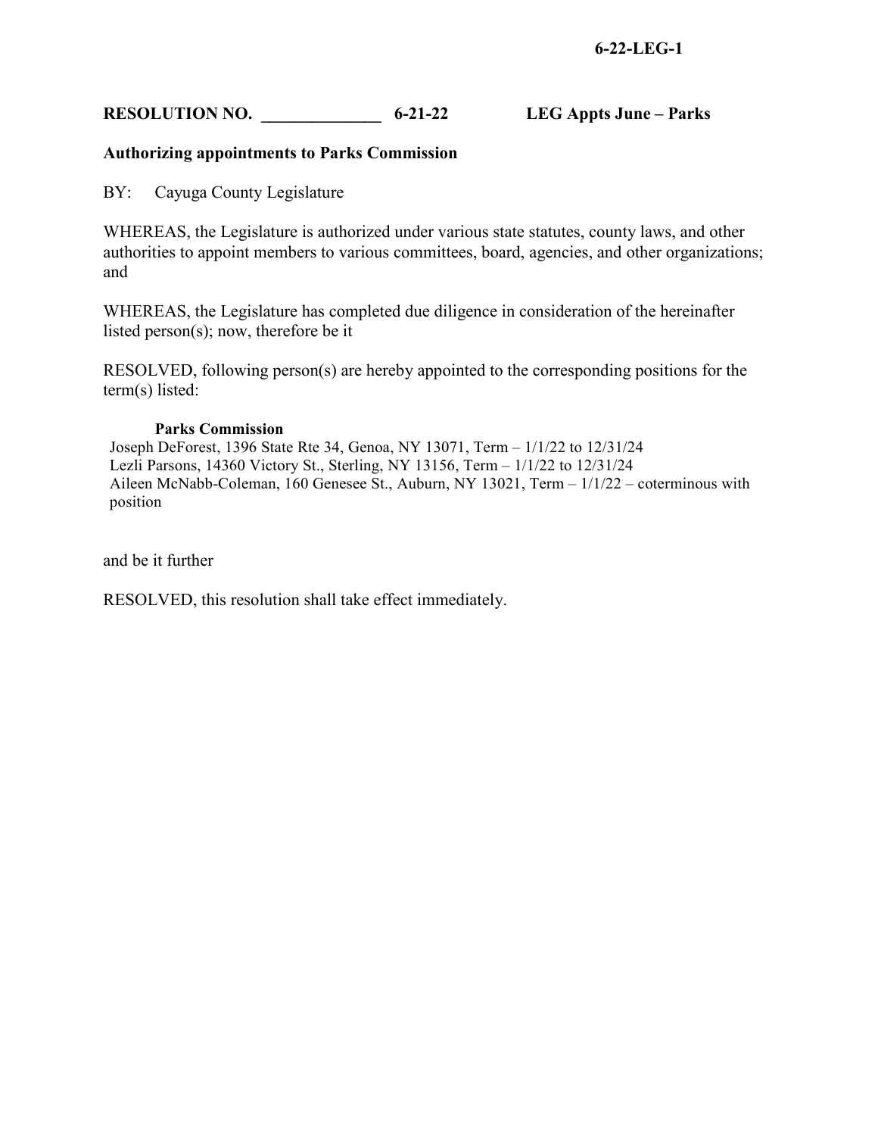# **RESOLUTION NO. \_\_\_\_\_\_\_\_\_\_\_\_\_\_ 6-21-22 LEG Appts June – Parks**

# **Authorizing appointments to Parks Commission**

BY: Cayuga County Legislature

WHEREAS, the Legislature is authorized under various state statutes, county laws, and other authorities to appoint members to various committees, board, agencies, and other organizations; and

WHEREAS, the Legislature has completed due diligence in consideration of the hereinafter listed person(s); now, therefore be it

RESOLVED, following person(s) are hereby appointed to the corresponding positions for the term(s) listed:

## **Parks Commission**

Joseph DeForest, 1396 State Rte 34, Genoa, NY 13071, Term – 1/1/22 to 12/31/24 Lezli Parsons, 14360 Victory St., Sterling, NY 13156, Term – 1/1/22 to 12/31/24 Aileen McNabb-Coleman, 160 Genesee St., Auburn, NY 13021, Term – 1/1/22 – coterminous with position

and be it further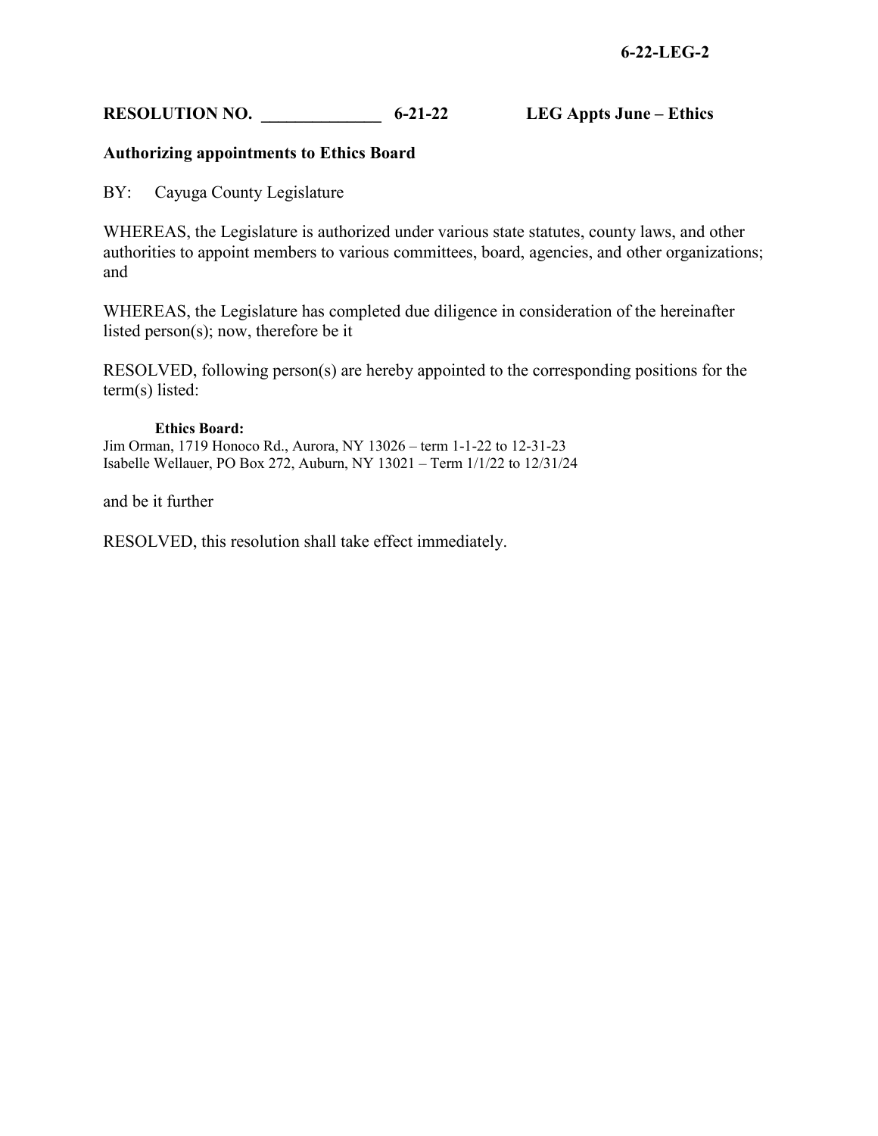# **RESOLUTION NO.** 6-21-22 LEG Appts June – Ethics

# **Authorizing appointments to Ethics Board**

BY: Cayuga County Legislature

WHEREAS, the Legislature is authorized under various state statutes, county laws, and other authorities to appoint members to various committees, board, agencies, and other organizations; and

WHEREAS, the Legislature has completed due diligence in consideration of the hereinafter listed person(s); now, therefore be it

RESOLVED, following person(s) are hereby appointed to the corresponding positions for the term(s) listed:

#### **Ethics Board:**

Jim Orman, 1719 Honoco Rd., Aurora, NY 13026 – term 1-1-22 to 12-31-23 Isabelle Wellauer, PO Box 272, Auburn, NY 13021 – Term 1/1/22 to 12/31/24

and be it further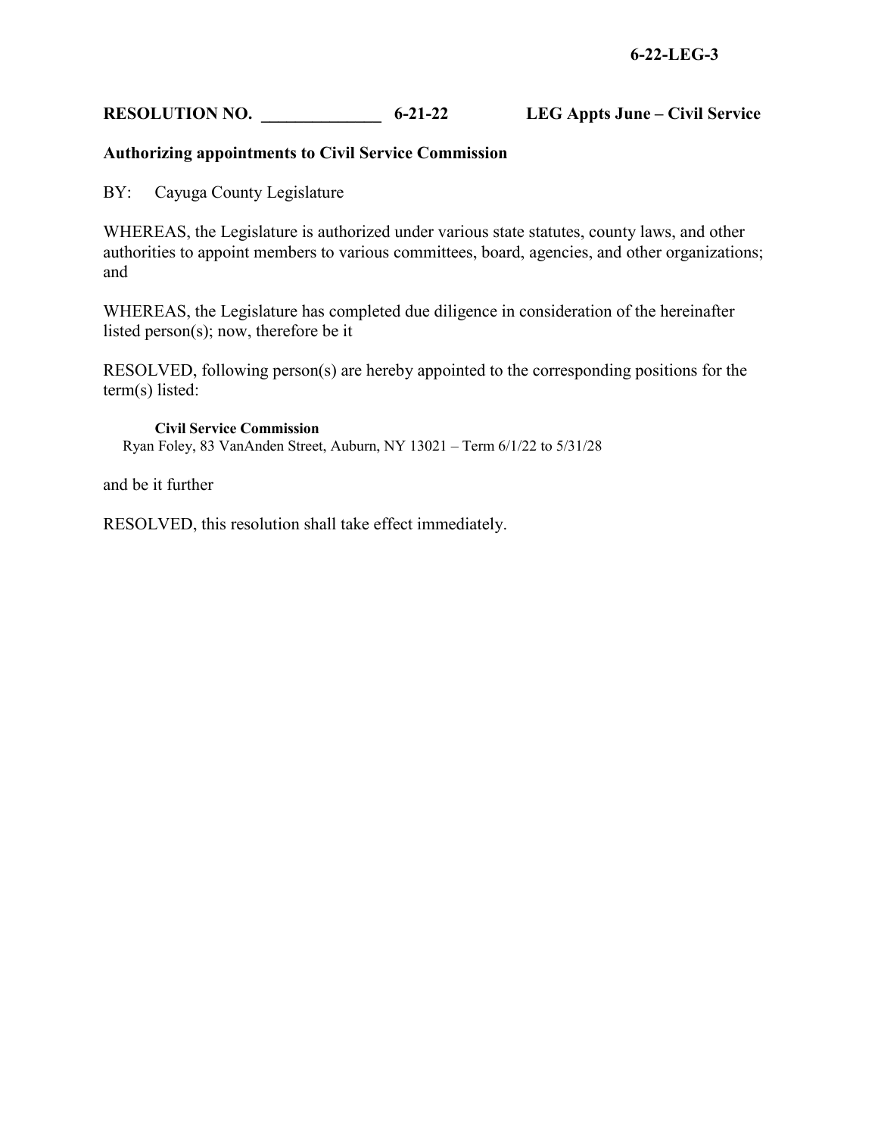# RESOLUTION NO.  $6-21-22$  LEG Appts June – Civil Service

# **Authorizing appointments to Civil Service Commission**

BY: Cayuga County Legislature

WHEREAS, the Legislature is authorized under various state statutes, county laws, and other authorities to appoint members to various committees, board, agencies, and other organizations; and

WHEREAS, the Legislature has completed due diligence in consideration of the hereinafter listed person(s); now, therefore be it

RESOLVED, following person(s) are hereby appointed to the corresponding positions for the term(s) listed:

**Civil Service Commission**  Ryan Foley, 83 VanAnden Street, Auburn, NY 13021 – Term 6/1/22 to 5/31/28

and be it further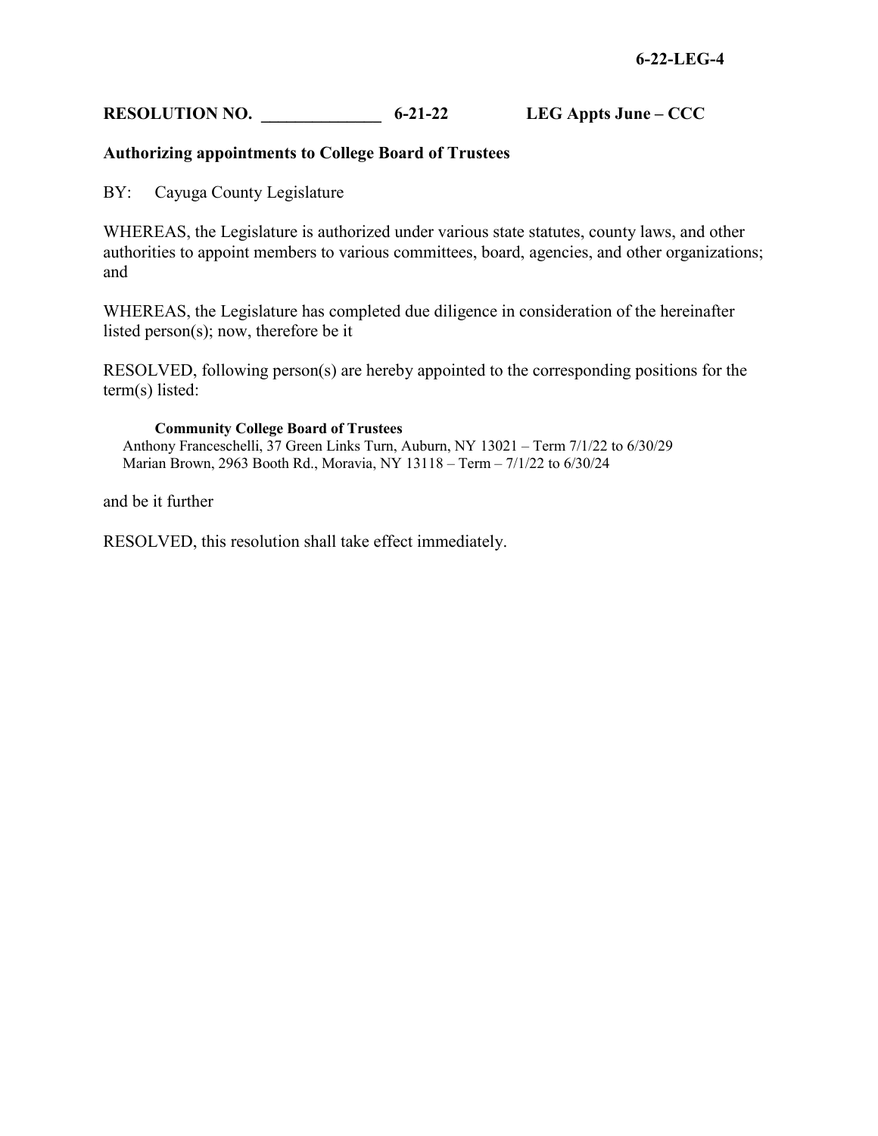# **RESOLUTION NO. \_\_\_\_\_\_\_\_\_\_\_\_\_\_ 6-21-22 LEG Appts June – CCC**

# **Authorizing appointments to College Board of Trustees**

BY: Cayuga County Legislature

WHEREAS, the Legislature is authorized under various state statutes, county laws, and other authorities to appoint members to various committees, board, agencies, and other organizations; and

WHEREAS, the Legislature has completed due diligence in consideration of the hereinafter listed person(s); now, therefore be it

RESOLVED, following person(s) are hereby appointed to the corresponding positions for the term(s) listed:

#### **Community College Board of Trustees**

Anthony Franceschelli, 37 Green Links Turn, Auburn, NY 13021 – Term 7/1/22 to 6/30/29 Marian Brown, 2963 Booth Rd., Moravia, NY 13118 – Term – 7/1/22 to 6/30/24

and be it further